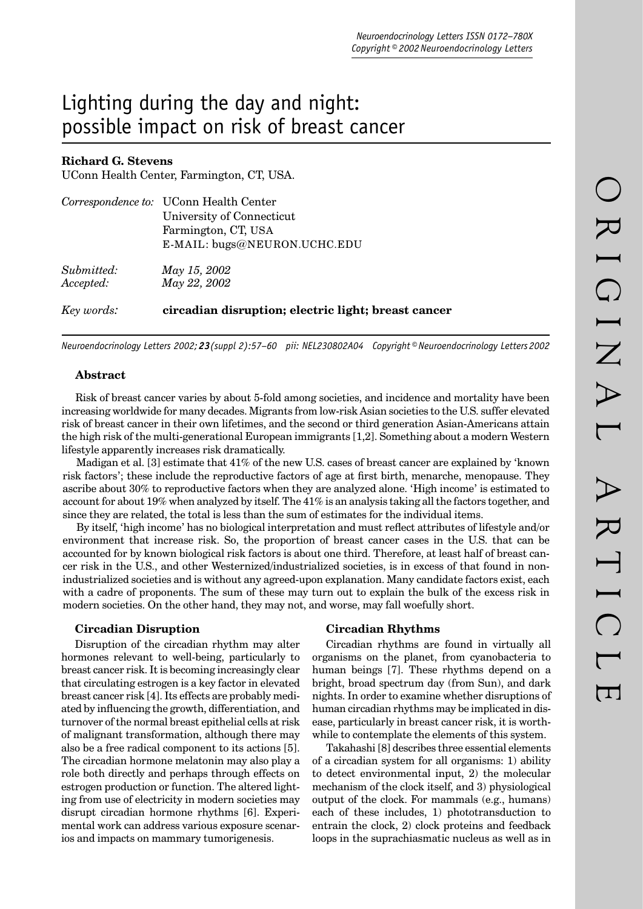# Lighting during the day and night: possible impact on risk of breast cancer

## **Richard G. Stevens**

UConn Health Center, Farmington, CT, USA.

|            | Correspondence to: UConn Health Center              |  |  |  |
|------------|-----------------------------------------------------|--|--|--|
|            | University of Connecticut                           |  |  |  |
|            | Farmington, CT, USA                                 |  |  |  |
|            | E-MAIL: bugs@NEURON.UCHC.EDU                        |  |  |  |
| Submitted: | May 15, 2002                                        |  |  |  |
| Accepted:  | May 22, 2002                                        |  |  |  |
| Key words: | circadian disruption; electric light; breast cancer |  |  |  |

*Neuroendocrinology Letters 2002; 23(suppl 2):57–60 pii: NEL230802A04 Copyright © Neuroendocrinology Letters 2002*

## **Abstract**

Risk of breast cancer varies by about 5-fold among societies, and incidence and mortality have been increasing worldwide for many decades. Migrants from low-risk Asian societies to the U.S. suffer elevated risk of breast cancer in their own lifetimes, and the second or third generation Asian-Americans attain the high risk of the multi-generational European immigrants [1,2]. Something about a modern Western lifestyle apparently increases risk dramatically.

Madigan et al. [3] estimate that 41% of the new U.S. cases of breast cancer are explained by 'known risk factors'; these include the reproductive factors of age at first birth, menarche, menopause. They ascribe about 30% to reproductive factors when they are analyzed alone. 'High income' is estimated to account for about 19% when analyzed by itself. The 41% is an analysis taking all the factors together, and since they are related, the total is less than the sum of estimates for the individual items.

By itself, 'high income' has no biological interpretation and must reflect attributes of lifestyle and/or environment that increase risk. So, the proportion of breast cancer cases in the U.S. that can be accounted for by known biological risk factors is about one third. Therefore, at least half of breast cancer risk in the U.S., and other Westernized/industrialized societies, is in excess of that found in nonindustrialized societies and is without any agreed-upon explanation. Many candidate factors exist, each with a cadre of proponents. The sum of these may turn out to explain the bulk of the excess risk in modern societies. On the other hand, they may not, and worse, may fall woefully short.

#### **Circadian Disruption**

Disruption of the circadian rhythm may alter hormones relevant to well-being, particularly to breast cancer risk. It is becoming increasingly clear that circulating estrogen is a key factor in elevated breast cancer risk [4]. Its effects are probably mediated by influencing the growth, differentiation, and turnover of the normal breast epithelial cells at risk of malignant transformation, although there may also be a free radical component to its actions [5]. The circadian hormone melatonin may also play a role both directly and perhaps through effects on estrogen production or function. The altered lighting from use of electricity in modern societies may disrupt circadian hormone rhythms [6]. Experimental work can address various exposure scenarios and impacts on mammary tumorigenesis.

#### **Circadian Rhythms**

Circadian rhythms are found in virtually all organisms on the planet, from cyanobacteria to human beings [7]. These rhythms depend on a bright, broad spectrum day (from Sun), and dark nights. In order to examine whether disruptions of human circadian rhythms may be implicated in disease, particularly in breast cancer risk, it is worthwhile to contemplate the elements of this system.

Takahashi [8] describes three essential elements of a circadian system for all organisms: 1) ability to detect environmental input, 2) the molecular mechanism of the clock itself, and 3) physiological output of the clock. For mammals (e.g., humans) each of these includes, 1) phototransduction to entrain the clock, 2) clock proteins and feedback loops in the suprachiasmatic nucleus as well as in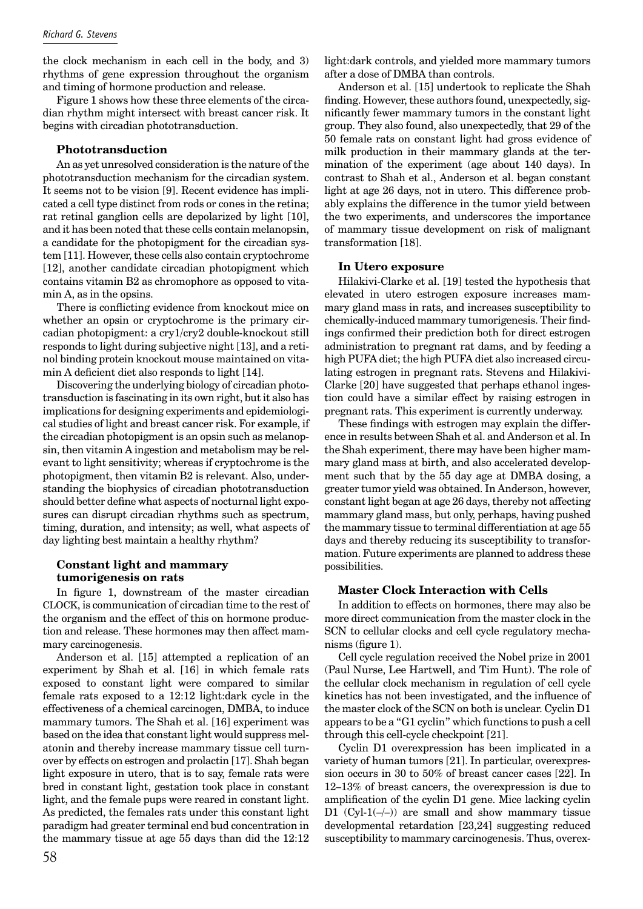the clock mechanism in each cell in the body, and 3) rhythms of gene expression throughout the organism and timing of hormone production and release.

Figure 1 shows how these three elements of the circadian rhythm might intersect with breast cancer risk. It begins with circadian phototransduction.

## **Phototransduction**

An as yet unresolved consideration is the nature of the phototransduction mechanism for the circadian system. It seems not to be vision [9]. Recent evidence has implicated a cell type distinct from rods or cones in the retina; rat retinal ganglion cells are depolarized by light [10], and it has been noted that these cells contain melanopsin, a candidate for the photopigment for the circadian system [11]. However, these cells also contain cryptochrome [12], another candidate circadian photopigment which contains vitamin B2 as chromophore as opposed to vitamin A, as in the opsins.

There is conflicting evidence from knockout mice on whether an opsin or cryptochrome is the primary circadian photopigment: a cry1/cry2 double-knockout still responds to light during subjective night [13], and a retinol binding protein knockout mouse maintained on vitamin A deficient diet also responds to light [14].

Discovering the underlying biology of circadian phototransduction is fascinating in its own right, but it also has implications for designing experiments and epidemiological studies of light and breast cancer risk. For example, if the circadian photopigment is an opsin such as melanopsin, then vitamin A ingestion and metabolism may be relevant to light sensitivity; whereas if cryptochrome is the photopigment, then vitamin B2 is relevant. Also, understanding the biophysics of circadian phototransduction should better define what aspects of nocturnal light exposures can disrupt circadian rhythms such as spectrum, timing, duration, and intensity; as well, what aspects of day lighting best maintain a healthy rhythm?

## **Constant light and mammary tumorigenesis on rats**

In figure 1, downstream of the master circadian CLOCK, is communication of circadian time to the rest of the organism and the effect of this on hormone production and release. These hormones may then affect mammary carcinogenesis.

Anderson et al. [15] attempted a replication of an experiment by Shah et al. [16] in which female rats exposed to constant light were compared to similar female rats exposed to a 12:12 light:dark cycle in the effectiveness of a chemical carcinogen, DMBA, to induce mammary tumors. The Shah et al. [16] experiment was based on the idea that constant light would suppress melatonin and thereby increase mammary tissue cell turnover by effects on estrogen and prolactin [17]. Shah began light exposure in utero, that is to say, female rats were bred in constant light, gestation took place in constant light, and the female pups were reared in constant light. As predicted, the females rats under this constant light paradigm had greater terminal end bud concentration in the mammary tissue at age 55 days than did the 12:12 light:dark controls, and yielded more mammary tumors after a dose of DMBA than controls.

Anderson et al. [15] undertook to replicate the Shah finding. However, these authors found, unexpectedly, significantly fewer mammary tumors in the constant light group. They also found, also unexpectedly, that 29 of the 50 female rats on constant light had gross evidence of milk production in their mammary glands at the termination of the experiment (age about 140 days). In contrast to Shah et al., Anderson et al. began constant light at age 26 days, not in utero. This difference probably explains the difference in the tumor yield between the two experiments, and underscores the importance of mammary tissue development on risk of malignant transformation [18].

## **In Utero exposure**

Hilakivi-Clarke et al. [19] tested the hypothesis that elevated in utero estrogen exposure increases mammary gland mass in rats, and increases susceptibility to chemically-induced mammary tumorigenesis. Their findings confirmed their prediction both for direct estrogen administration to pregnant rat dams, and by feeding a high PUFA diet; the high PUFA diet also increased circulating estrogen in pregnant rats. Stevens and Hilakivi-Clarke [20] have suggested that perhaps ethanol ingestion could have a similar effect by raising estrogen in pregnant rats. This experiment is currently underway.

These findings with estrogen may explain the difference in results between Shah et al. and Anderson et al. In the Shah experiment, there may have been higher mammary gland mass at birth, and also accelerated development such that by the 55 day age at DMBA dosing, a greater tumor yield was obtained. In Anderson, however, constant light began at age 26 days, thereby not affecting mammary gland mass, but only, perhaps, having pushed the mammary tissue to terminal differentiation at age 55 days and thereby reducing its susceptibility to transformation. Future experiments are planned to address these possibilities.

#### **Master Clock Interaction with Cells**

In addition to effects on hormones, there may also be more direct communication from the master clock in the SCN to cellular clocks and cell cycle regulatory mechanisms (figure 1).

Cell cycle regulation received the Nobel prize in 2001 (Paul Nurse, Lee Hartwell, and Tim Hunt). The role of the cellular clock mechanism in regulation of cell cycle kinetics has not been investigated, and the influence of the master clock of the SCN on both is unclear. Cyclin D1 appears to be a "G1 cyclin" which functions to push a cell through this cell-cycle checkpoint [21].

Cyclin D1 overexpression has been implicated in a variety of human tumors [21]. In particular, overexpression occurs in 30 to 50% of breast cancer cases [22]. In 12–13% of breast cancers, the overexpression is due to amplification of the cyclin D1 gene. Mice lacking cyclin D1  $(Cyl-1(-/-))$  are small and show mammary tissue developmental retardation [23,24] suggesting reduced susceptibility to mammary carcinogenesis. Thus, overex-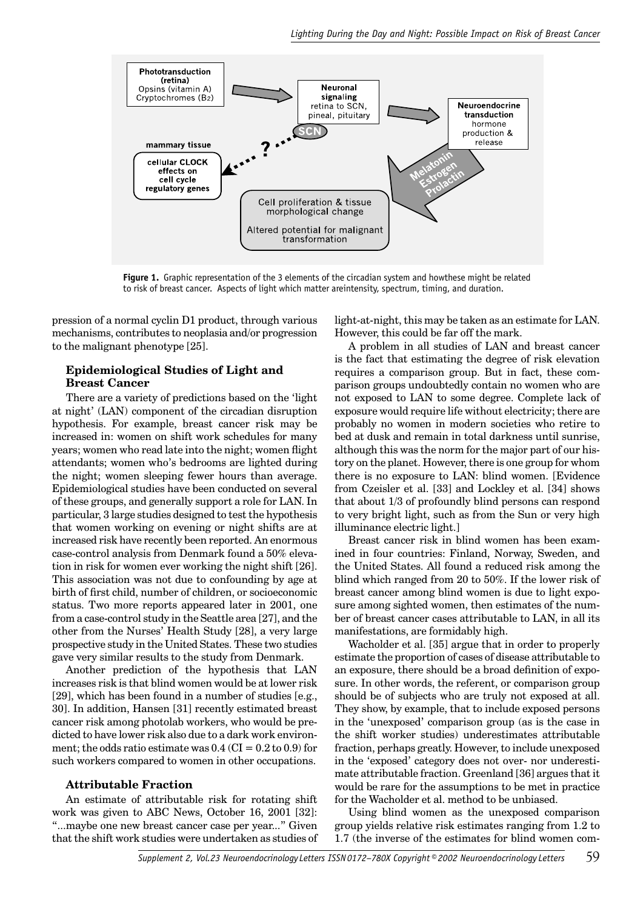

**Figure 1.** Graphic representation of the 3 elements of the circadian system and howthese might be related to risk of breast cancer. Aspects of light which matter areintensity, spectrum, timing, and duration.

pression of a normal cyclin D1 product, through various mechanisms, contributes to neoplasia and/or progression to the malignant phenotype [25].

## **Epidemiological Studies of Light and Breast Cancer**

There are a variety of predictions based on the 'light at night' (LAN) component of the circadian disruption hypothesis. For example, breast cancer risk may be increased in: women on shift work schedules for many years; women who read late into the night; women flight attendants; women who's bedrooms are lighted during the night; women sleeping fewer hours than average. Epidemiological studies have been conducted on several of these groups, and generally support a role for LAN. In particular, 3 large studies designed to test the hypothesis that women working on evening or night shifts are at increased risk have recently been reported. An enormous case-control analysis from Denmark found a 50% elevation in risk for women ever working the night shift [26]. This association was not due to confounding by age at birth of first child, number of children, or socioeconomic status. Two more reports appeared later in 2001, one from a case-control study in the Seattle area [27], and the other from the Nurses' Health Study [28], a very large prospective study in the United States. These two studies gave very similar results to the study from Denmark.

Another prediction of the hypothesis that LAN increases risk is that blind women would be at lower risk [29], which has been found in a number of studies [e.g.,] 30]. In addition, Hansen [31] recently estimated breast cancer risk among photolab workers, who would be predicted to have lower risk also due to a dark work environment; the odds ratio estimate was  $0.4$  (CI =  $0.2$  to  $0.9$ ) for such workers compared to women in other occupations.

## **Attributable Fraction**

An estimate of attributable risk for rotating shift work was given to ABC News, October 16, 2001 [32]: "...maybe one new breast cancer case per year..." Given that the shift work studies were undertaken as studies of light-at-night, this may be taken as an estimate for LAN. However, this could be far off the mark.

A problem in all studies of LAN and breast cancer is the fact that estimating the degree of risk elevation requires a comparison group. But in fact, these comparison groups undoubtedly contain no women who are not exposed to LAN to some degree. Complete lack of exposure would require life without electricity; there are probably no women in modern societies who retire to bed at dusk and remain in total darkness until sunrise, although this was the norm for the major part of our history on the planet. However, there is one group for whom there is no exposure to LAN: blind women. [Evidence from Czeisler et al. [33] and Lockley et al. [34] shows that about 1/3 of profoundly blind persons can respond to very bright light, such as from the Sun or very high illuminance electric light.]

Breast cancer risk in blind women has been examined in four countries: Finland, Norway, Sweden, and the United States. All found a reduced risk among the blind which ranged from 20 to 50%. If the lower risk of breast cancer among blind women is due to light exposure among sighted women, then estimates of the number of breast cancer cases attributable to LAN, in all its manifestations, are formidably high.

Wacholder et al. [35] argue that in order to properly estimate the proportion of cases of disease attributable to an exposure, there should be a broad definition of exposure. In other words, the referent, or comparison group should be of subjects who are truly not exposed at all. They show, by example, that to include exposed persons in the 'unexposed' comparison group (as is the case in the shift worker studies) underestimates attributable fraction, perhaps greatly. However, to include unexposed in the 'exposed' category does not over- nor underestimate attributable fraction. Greenland [36] argues that it would be rare for the assumptions to be met in practice for the Wacholder et al. method to be unbiased.

Using blind women as the unexposed comparison group yields relative risk estimates ranging from 1.2 to 1.7 (the inverse of the estimates for blind women com